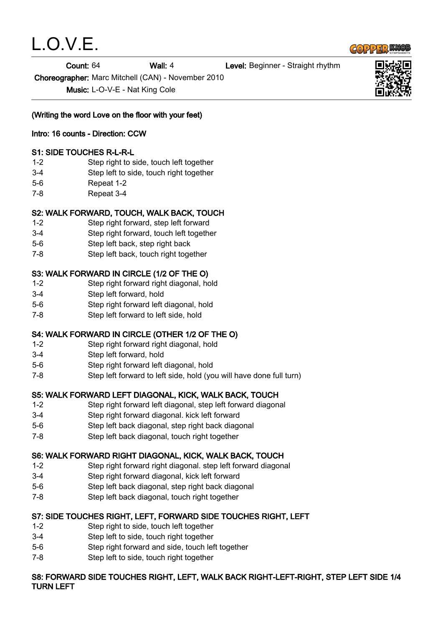

Count: 64 Wall: 4 Level: Beginner - Straight rhythm

Choreographer: Marc Mitchell (CAN) - November 2010

Music: L-O-V-E - Nat King Cole

(Writing the word Love on the floor with your feet)

## Intro: 16 counts - Direction: CCW

## S1: SIDE TOUCHES R-L-R-L

- 1-2 Step right to side, touch left together
- 3-4 Step left to side, touch right together
- 5-6 Repeat 1-2
- 7-8 Repeat 3-4

## S2: WALK FORWARD, TOUCH, WALK BACK, TOUCH

- 1-2 Step right forward, step left forward
- 3-4 Step right forward, touch left together
- 5-6 Step left back, step right back
- 7-8 Step left back, touch right together

## S3: WALK FORWARD IN CIRCLE (1/2 OF THE O)

- 1-2 Step right forward right diagonal, hold
- 3-4 Step left forward, hold
- 5-6 Step right forward left diagonal, hold
- 7-8 Step left forward to left side, hold

# S4: WALK FORWARD IN CIRCLE (OTHER 1/2 OF THE O)

- 1-2 Step right forward right diagonal, hold
- 3-4 Step left forward, hold
- 5-6 Step right forward left diagonal, hold
- 7-8 Step left forward to left side, hold (you will have done full turn)

## S5: WALK FORWARD LEFT DIAGONAL, KICK, WALK BACK, TOUCH

- 1-2 Step right forward left diagonal, step left forward diagonal
- 3-4 Step right forward diagonal. kick left forward
- 5-6 Step left back diagonal, step right back diagonal
- 7-8 Step left back diagonal, touch right together

## S6: WALK FORWARD RIGHT DIAGONAL, KICK, WALK BACK, TOUCH

- 1-2 Step right forward right diagonal. step left forward diagonal
- 3-4 Step right forward diagonal, kick left forward
- 5-6 Step left back diagonal, step right back diagonal
- 7-8 Step left back diagonal, touch right together

## S7: SIDE TOUCHES RIGHT, LEFT, FORWARD SIDE TOUCHES RIGHT, LEFT

- 1-2 Step right to side, touch left together
- 3-4 Step left to side, touch right together
- 5-6 Step right forward and side, touch left together
- 7-8 Step left to side, touch right together

#### S8: FORWARD SIDE TOUCHES RIGHT, LEFT, WALK BACK RIGHT-LEFT-RIGHT, STEP LEFT SIDE 1/4 TURN LEFT